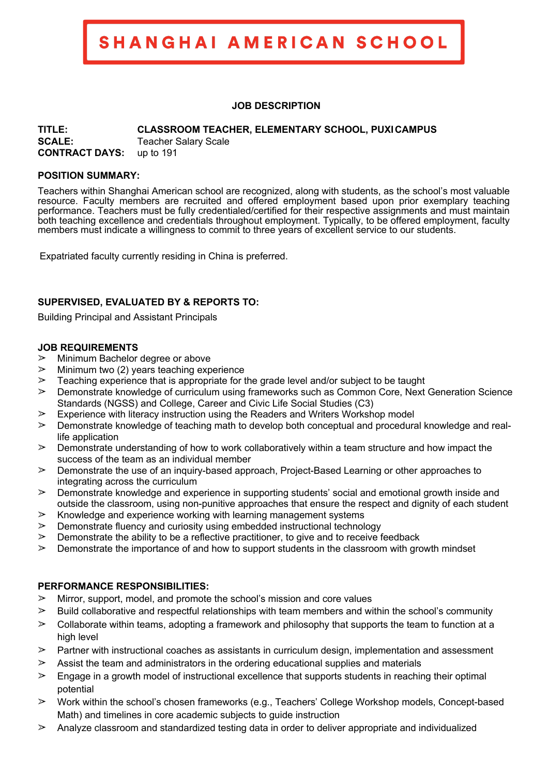SHANGHAI AMERICAN SCHOOL

### **JOB DESCRIPTION**

**TITLE: CLASSROOM TEACHER, ELEMENTARY SCHOOL, PUXICAMPUS**

**SCALE:** Teacher Salary Scale **CONTRACT DAYS:** up to 191

### **POSITION SUMMARY:**

Teachers within Shanghai American school are recognized, along with students, as the school's most valuable resource. Faculty members are recruited and offered employment based upon prior exemplary teaching performance. Teachers must be fully credentialed/certified for their respective assignments and must maintain both teaching excellence and credentials throughout employment. Typically, to be offered employment, faculty members must indicate a willingness to commit to three years of excellent service to our students.

Expatriated faculty currently residing in China is preferred.

### **SUPERVISED, EVALUATED BY & REPORTS TO:**

Building Principal and Assistant Principals

### **JOB REQUIREMENTS**

- $\geq$  Minimum Bachelor degree or above
- $\geq$  Minimum two (2) years teaching experience
- $\geq$  Teaching experience that is appropriate for the grade level and/or subject to be taught
- $\geq$  Demonstrate knowledge of curriculum using frameworks such as Common Core, Next Generation Science Standards (NGSS) and College, Career and Civic Life Social Studies (C3)
- $\triangleright$  Experience with literacy instruction using the Readers and Writers Workshop model
- $\geq$  Demonstrate knowledge of teaching math to develop both conceptual and procedural knowledge and reallife application
- $\geq$  Demonstrate understanding of how to work collaboratively within a team structure and how impact the success of the team as an individual member
- $\geq$  Demonstrate the use of an inquiry-based approach, Project-Based Learning or other approaches to integrating across the curriculum
- $\geq$  Demonstrate knowledge and experience in supporting students' social and emotional growth inside and outside the classroom, using non-punitive approaches that ensure the respect and dignity of each student
- $\geq$  Knowledge and experience working with learning management systems
- $\geq$  Demonstrate fluency and curiosity using embedded instructional technology
- $\geq$  Demonstrate the ability to be a reflective practitioner, to give and to receive feedback
- $\geq$  Demonstrate the importance of and how to support students in the classroom with growth mindset

### **PERFORMANCE RESPONSIBILITIES:**

- $\geq$  Mirror, support, model, and promote the school's mission and core values
- $\triangleright$  Build collaborative and respectful relationships with team members and within the school's community
- $\geq$  Collaborate within teams, adopting a framework and philosophy that supports the team to function at a high level
- $\triangleright$  Partner with instructional coaches as assistants in curriculum design, implementation and assessment
- $\geq$  Assist the team and administrators in the ordering educational supplies and materials
- $\geq$  Engage in a growth model of instructional excellence that supports students in reaching their optimal potential
- $\triangleright$  Work within the school's chosen frameworks (e.g., Teachers' College Workshop models, Concept-based Math) and timelines in core academic subjects to guide instruction
- $\geq$  Analyze classroom and standardized testing data in order to deliver appropriate and individualized